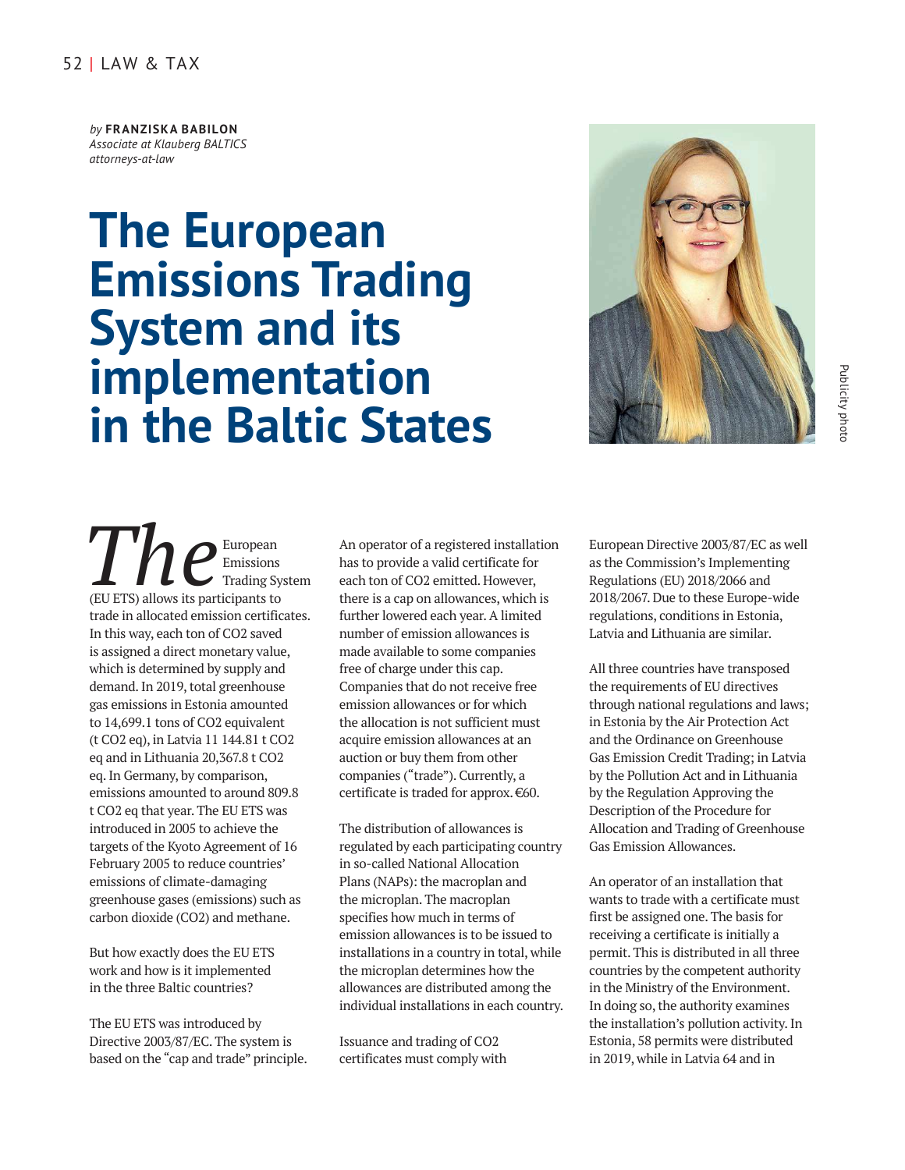## 52 | LAW & TAX

*by* **FRANZISKA BABILON** *Associate at Klauberg BALTICS attorneys-at-law* 

## **The European Emissions Trading System and its implementation in the Baltic States**



The European<br>The Emissions Emissions Trading System (EU ETS) allows its participants to trade in allocated emission certificates. In this way, each ton of CO2 saved is assigned a direct monetary value, which is determined by supply and demand. In 2019, total greenhouse gas emissions in Estonia amounted to 14,699.1 tons of CO2 equivalent (t CO2 eq), in Latvia 11 144.81 t CO2 eq and in Lithuania 20,367.8 t CO2 eq. In Germany, by comparison, emissions amounted to around 809.8 t CO2 eq that year. The EU ETS was introduced in 2005 to achieve the targets of the Kyoto Agreement of 16 February 2005 to reduce countries' emissions of climate-damaging greenhouse gases (emissions) such as carbon dioxide (CO2) and methane.

But how exactly does the EU ETS work and how is it implemented in the three Baltic countries?

The EU ETS was introduced by Directive 2003/87/EC. The system is based on the "cap and trade" principle. An operator of a registered installation has to provide a valid certificate for each ton of CO2 emitted. However, there is a cap on allowances, which is further lowered each year. A limited number of emission allowances is made available to some companies free of charge under this cap. Companies that do not receive free emission allowances or for which the allocation is not sufficient must acquire emission allowances at an auction or buy them from other companies ("trade"). Currently, a certificate is traded for approx. €60.

The distribution of allowances is regulated by each participating country in so-called National Allocation Plans (NAPs): the macroplan and the microplan. The macroplan specifies how much in terms of emission allowances is to be issued to installations in a country in total, while the microplan determines how the allowances are distributed among the individual installations in each country.

Issuance and trading of CO2 certificates must comply with European Directive 2003/87/EC as well as the Commission's Implementing Regulations (EU) 2018/2066 and 2018/2067. Due to these Europe-wide regulations, conditions in Estonia, Latvia and Lithuania are similar.

All three countries have transposed the requirements of EU directives through national regulations and laws; in Estonia by the Air Protection Act and the Ordinance on Greenhouse Gas Emission Credit Trading; in Latvia by the Pollution Act and in Lithuania by the Regulation Approving the Description of the Procedure for Allocation and Trading of Greenhouse Gas Emission Allowances.

An operator of an installation that wants to trade with a certificate must first be assigned one. The basis for receiving a certificate is initially a permit. This is distributed in all three countries by the competent authority in the Ministry of the Environment. In doing so, the authority examines the installation's pollution activity. In Estonia, 58 permits were distributed in 2019, while in Latvia 64 and in